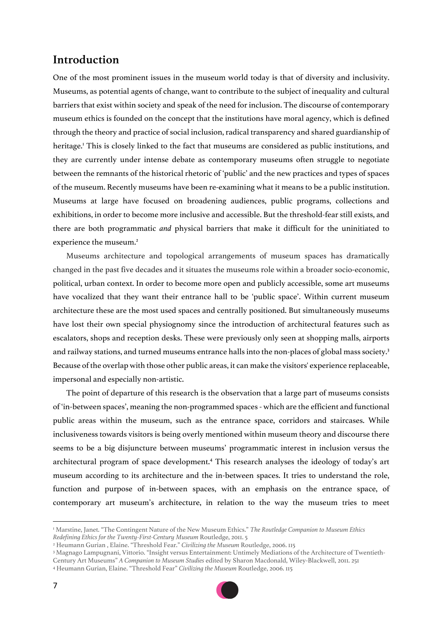# **Introduction**

One of the most prominent issues in the museum world today is that of diversity and inclusivity. Museums, as potential agents of change, want to contribute to the subject of inequality and cultural barriers that exist within society and speak of the need for inclusion. The discourse of contemporary museum ethics is founded on the concept that the institutions have moral agency, which is defined through the theory and practice of social inclusion, radical transparency and shared guardianship of heritage.<sup>1</sup> This is closely linked to the fact that museums are considered as public institutions, and they are currently under intense debate as contemporary museums often struggle to negotiate between the remnants of the historical rhetoric of 'public' and the new practices and types of spaces of the museum. Recently museums have been re-examining what it means to be a public institution. Museums at large have focused on broadening audiences, public programs, collections and exhibitions, in order to become more inclusive and accessible. But the threshold-fear still exists, and there are both programmatic *and* physical barriers that make it difficult for the uninitiated to experience the museum.<sup>2</sup>

Museums architecture and topological arrangements of museum spaces has dramatically changed in the past five decades and it situates the museums role within a broader socio-economic, political, urban context. In order to become more open and publicly accessible, some art museums have vocalized that they want their entrance hall to be 'public space'. Within current museum architecture these are the most used spaces and centrally positioned. But simultaneously museums have lost their own special physiognomy since the introduction of architectural features such as escalators, shops and reception desks. These were previously only seen at shopping malls, airports and railway stations, and turned museums entrance halls into the non-places of global mass society.<sup>3</sup> Because of the overlap with those other public areas, it can make the visitors' experience replaceable, impersonal and especially non-artistic.

The point of departure of this research is the observation that a large part of museums consists of 'in-between spaces', meaning the non-programmed spaces - which are the efficient and functional public areas within the museum, such as the entrance space, corridors and staircases. While inclusiveness towards visitors is being overly mentioned within museum theory and discourse there seems to be a big disjuncture between museums' programmatic interest in inclusion versus the architectural program of space development.4 This research analyses the ideology of today's art museum according to its architecture and the in-between spaces. It tries to understand the role, function and purpose of in-between spaces, with an emphasis on the entrance space, of contemporary art museum's architecture, in relation to the way the museum tries to meet

<sup>3</sup> Magnago Lampugnani, Vittorio. "Insight versus Entertainment: Untimely Mediations of the Architecture of Twentieth-Century Art Museums" *A Companion to Museum Studies* edited by Sharon Macdonald, Wiley-Blackwell, 2011. 251 <sup>4</sup> Heumann Gurian, Elaine. "Threshold Fear" *Civilizing the Museum* Routledge, 2006. 115



<sup>1</sup> Marstine, Janet. "The Contingent Nature of the New Museum Ethics." *The Routledge Companion to Museum Ethics Redefining Ethics for the Twenty-First-Century Museum* Routledge, 2011. 5

<sup>2</sup> Heumann Gurian , Elaine. "Threshold Fear." *Civilizing the Museum* Routledge, 2006. 115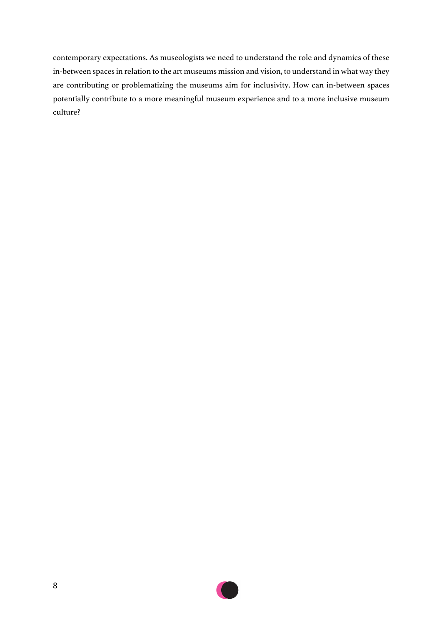contemporary expectations. As museologists we need to understand the role and dynamics of these in-between spaces in relation to the art museums mission and vision, to understand in what way they are contributing or problematizing the museums aim for inclusivity. How can in-between spaces potentially contribute to a more meaningful museum experience and to a more inclusive museum culture?

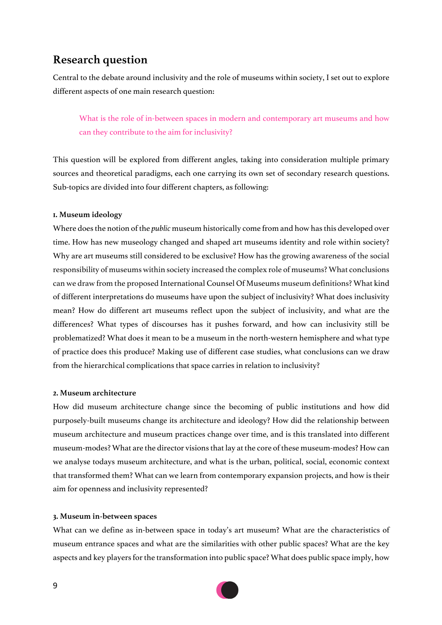# **Research question**

Central to the debate around inclusivity and the role of museums within society, I set out to explore different aspects of one main research question:

What is the role of in-between spaces in modern and contemporary art museums and how can they contribute to the aim for inclusivity?

This question will be explored from different angles, taking into consideration multiple primary sources and theoretical paradigms, each one carrying its own set of secondary research questions. Sub-topics are divided into four different chapters, as following:

## **1. Museum ideology**

Where does the notion of the *public* museum historically come from and how has this developed over time. How has new museology changed and shaped art museums identity and role within society? Why are art museums still considered to be exclusive? How has the growing awareness of the social responsibility of museums within society increased the complex role of museums? What conclusions can we draw from the proposed International Counsel Of Museums museum definitions? What kind of different interpretations do museums have upon the subject of inclusivity? What does inclusivity mean? How do different art museums reflect upon the subject of inclusivity, and what are the differences? What types of discourses has it pushes forward, and how can inclusivity still be problematized? What does it mean to be a museum in the north-western hemisphere and what type of practice does this produce? Making use of different case studies, what conclusions can we draw from the hierarchical complications that space carries in relation to inclusivity?

### **2. Museum architecture**

How did museum architecture change since the becoming of public institutions and how did purposely-built museums change its architecture and ideology? How did the relationship between museum architecture and museum practices change over time, and is this translated into different museum-modes? What are the director visions that lay at the core of these museum-modes? How can we analyse todays museum architecture, and what is the urban, political, social, economic context that transformed them? What can we learn from contemporary expansion projects, and how is their aim for openness and inclusivity represented?

#### **3. Museum in-between spaces**

What can we define as in-between space in today's art museum? What are the characteristics of museum entrance spaces and what are the similarities with other public spaces? What are the key aspects and key players for the transformation into public space? What does public space imply, how

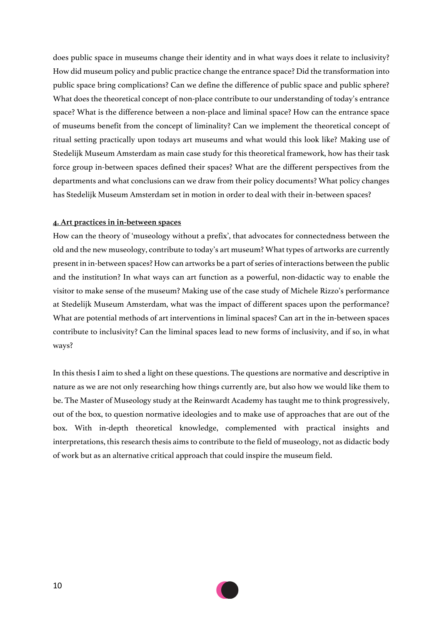does public space in museums change their identity and in what ways does it relate to inclusivity? How did museum policy and public practice change the entrance space? Did the transformation into public space bring complications? Can we define the difference of public space and public sphere? What does the theoretical concept of non-place contribute to our understanding of today's entrance space? What is the difference between a non-place and liminal space? How can the entrance space of museums benefit from the concept of liminality? Can we implement the theoretical concept of ritual setting practically upon todays art museums and what would this look like? Making use of Stedelijk Museum Amsterdam as main case study for this theoretical framework, how has their task force group in-between spaces defined their spaces? What are the different perspectives from the departments and what conclusions can we draw from their policy documents? What policy changes has Stedelijk Museum Amsterdam set in motion in order to deal with their in-between spaces?

#### **4. Art practices in in-between spaces**

How can the theory of 'museology without a prefix', that advocates for connectedness between the old and the new museology, contribute to today's art museum? What types of artworks are currently present in in-between spaces? How can artworks be a part of series of interactions between the public and the institution? In what ways can art function as a powerful, non-didactic way to enable the visitor to make sense of the museum? Making use of the case study of Michele Rizzo's performance at Stedelijk Museum Amsterdam, what was the impact of different spaces upon the performance? What are potential methods of art interventions in liminal spaces? Can art in the in-between spaces contribute to inclusivity? Can the liminal spaces lead to new forms of inclusivity, and if so, in what ways?

In this thesis I aim to shed a light on these questions. The questions are normative and descriptive in nature as we are not only researching how things currently are, but also how we would like them to be. The Master of Museology study at the Reinwardt Academy has taught me to think progressively, out of the box, to question normative ideologies and to make use of approaches that are out of the box. With in-depth theoretical knowledge, complemented with practical insights and interpretations, this research thesis aims to contribute to the field of museology, not as didactic body of work but as an alternative critical approach that could inspire the museum field.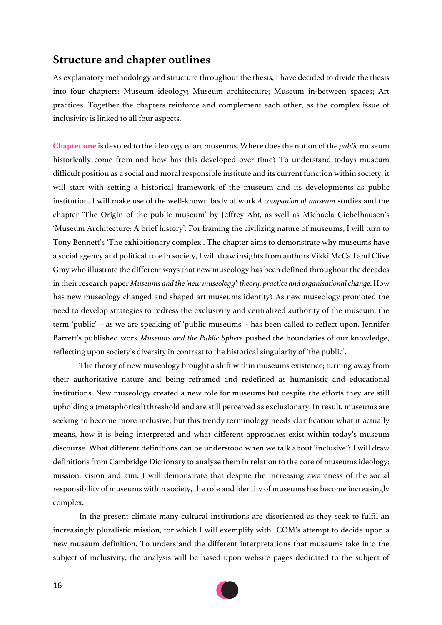## **Structure and chapter outlines**

As explanatory methodology and structure throughout the thesis, I have decided to divide the thesis into four chapters: Museum ideology; Museum architecture; Museum in-between spaces; Art practices. Together the chapters reinforce and complement each other, as the complex issue of inclusivity is linked to all four aspects.

**Chapter one** is devoted to the ideology of art museums. Where does the notion of the *public* museum historically come from and how has this developed over time? To understand todays museum difficult position as a social and moral responsible institute and its current function within society, it will start with setting a historical framework of the museum and its developments as public institution. I will make use of the well-known body of work *A companion of museum* studies and the chapter 'The Origin of the public museum' by Jeffrey Abt, as well as Michaela Giebelhausen's 'Museum Architecture: A brief history'. For framing the civilizing nature of museums, I will turn to Tony Bennett's 'The exhibitionary complex'. The chapter aims to demonstrate why museums have a social agency and political role in society, I will draw insights from authors Vikki McCall and Clive Gray who illustrate the different ways that new museology has been defined throughout the decades in their research paper *Museums and the 'new museology': theory, practice and organisational change*. How has new museology changed and shaped art museums identity? As new museology promoted the need to develop strategies to redress the exclusivity and centralized authority of the museum, the term 'public' – as we are speaking of 'public museums' - has been called to reflect upon. Jennifer Barrett's published work *Museums and the Public Sphere* pushed the boundaries of our knowledge, reflecting upon society's diversity in contrast to the historical singularity of 'the public'.

The theory of new museology brought a shift within museums existence; turning away from their authoritative nature and being reframed and redefined as humanistic and educational institutions. New museology created a new role for museums but despite the efforts they are still upholding a (metaphorical) threshold and are still perceived as exclusionary. In result, museums are seeking to become more inclusive, but this trendy terminology needs clarification what it actually means, how it is being interpreted and what different approaches exist within today's museum discourse. What different definitions can be understood when we talk about 'inclusive'? I will draw definitions from Cambridge Dictionary to analyse them in relation to the core of museums ideology: mission, vision and aim. I will demonstrate that despite the increasing awareness of the social responsibility of museums within society, the role and identity of museums has become increasingly complex.

In the present climate many cultural institutions are disoriented as they seek to fulfil an increasingly pluralistic mission, for which I will exemplify with ICOM's attempt to decide upon a new museum definition. To understand the different interpretations that museums take into the subject of inclusivity, the analysis will be based upon website pages dedicated to the subject of

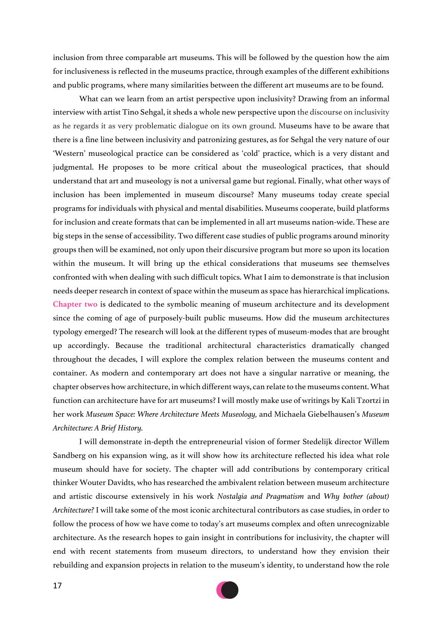inclusion from three comparable art museums. This will be followed by the question how the aim for inclusiveness is reflected in the museums practice, through examples of the different exhibitions and public programs, where many similarities between the different art museums are to be found.

What can we learn from an artist perspective upon inclusivity? Drawing from an informal interview with artist Tino Sehgal, it sheds a whole new perspective upon the discourse on inclusivity as he regards it as very problematic dialogue on its own ground. Museums have to be aware that there is a fine line between inclusivity and patronizing gestures, as for Sehgal the very nature of our 'Western' museological practice can be considered as 'cold' practice, which is a very distant and judgmental. He proposes to be more critical about the museological practices, that should understand that art and museology is not a universal game but regional. Finally, what other ways of inclusion has been implemented in museum discourse? Many museums today create special programs for individuals with physical and mental disabilities. Museums cooperate, build platforms for inclusion and create formats that can be implemented in all art museums nation-wide. These are big steps in the sense of accessibility. Two different case studies of public programs around minority groups then will be examined, not only upon their discursive program but more so upon its location within the museum. It will bring up the ethical considerations that museums see themselves confronted with when dealing with such difficult topics. What I aim to demonstrate is that inclusion needs deeper research in context of space within the museum as space has hierarchical implications. **Chapter two** is dedicated to the symbolic meaning of museum architecture and its development since the coming of age of purposely-built public museums. How did the museum architectures typology emerged? The research will look at the different types of museum-modes that are brought up accordingly. Because the traditional architectural characteristics dramatically changed throughout the decades, I will explore the complex relation between the museums content and container. As modern and contemporary art does not have a singular narrative or meaning, the chapter observes how architecture, in which different ways, can relate to the museums content. What function can architecture have for art museums? I will mostly make use of writings by Kali Tzortzi in her work *Museum Space: Where Architecture Meets Museology,* and Michaela Giebelhausen's *Museum Architecture: A Brief History.* 

I will demonstrate in-depth the entrepreneurial vision of former Stedelijk director Willem Sandberg on his expansion wing, as it will show how its architecture reflected his idea what role museum should have for society. The chapter will add contributions by contemporary critical thinker Wouter Davidts, who has researched the ambivalent relation between museum architecture and artistic discourse extensively in his work *Nostalgia and Pragmatism* and *Why bother (about) Architecture?* I will take some of the most iconic architectural contributors as case studies, in order to follow the process of how we have come to today's art museums complex and often unrecognizable architecture. As the research hopes to gain insight in contributions for inclusivity, the chapter will end with recent statements from museum directors, to understand how they envision their rebuilding and expansion projects in relation to the museum's identity, to understand how the role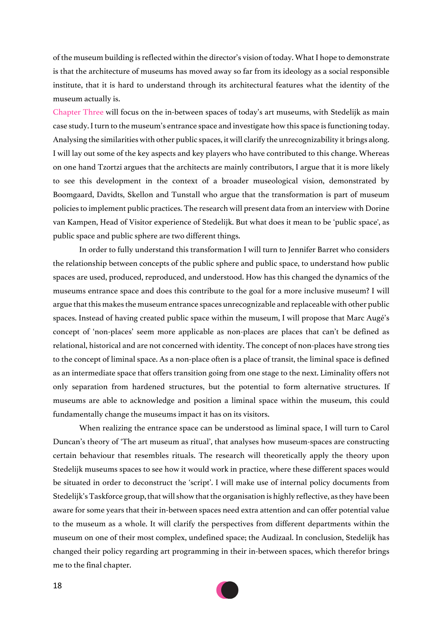of the museum building is reflected within the director's vision of today. What I hope to demonstrate is that the architecture of museums has moved away so far from its ideology as a social responsible institute, that it is hard to understand through its architectural features what the identity of the museum actually is.

Chapter Three will focus on the in-between spaces of today's art museums, with Stedelijk as main case study. I turn to the museum's entrance space and investigate how this space is functioning today. Analysing the similarities with other public spaces, it will clarify the unrecognizability it brings along. I will lay out some of the key aspects and key players who have contributed to this change. Whereas on one hand Tzortzi argues that the architects are mainly contributors, I argue that it is more likely to see this development in the context of a broader museological vision, demonstrated by Boomgaard, Davidts, Skellon and Tunstall who argue that the transformation is part of museum policies to implement public practices. The research will present data from an interview with Dorine van Kampen, Head of Visitor experience of Stedelijk. But what does it mean to be 'public space', as public space and public sphere are two different things.

In order to fully understand this transformation I will turn to Jennifer Barret who considers the relationship between concepts of the public sphere and public space, to understand how public spaces are used, produced, reproduced, and understood. How has this changed the dynamics of the museums entrance space and does this contribute to the goal for a more inclusive museum? I will argue that this makes the museum entrance spaces unrecognizable and replaceable with other public spaces. Instead of having created public space within the museum, I will propose that Marc Augé's concept of 'non-places' seem more applicable as non-places are places that can't be defined as relational, historical and are not concerned with identity. The concept of non-places have strong ties to the concept of liminal space. As a non-place often is a place of transit, the liminal space is defined as an intermediate space that offers transition going from one stage to the next. Liminality offers not only separation from hardened structures, but the potential to form alternative structures. If museums are able to acknowledge and position a liminal space within the museum, this could fundamentally change the museums impact it has on its visitors.

When realizing the entrance space can be understood as liminal space, I will turn to Carol Duncan's theory of 'The art museum as ritual', that analyses how museum-spaces are constructing certain behaviour that resembles rituals. The research will theoretically apply the theory upon Stedelijk museums spaces to see how it would work in practice, where these different spaces would be situated in order to deconstruct the 'script'. I will make use of internal policy documents from Stedelijk's Taskforce group, that will show that the organisation is highly reflective, as they have been aware for some years that their in-between spaces need extra attention and can offer potential value to the museum as a whole. It will clarify the perspectives from different departments within the museum on one of their most complex, undefined space; the Audizaal. In conclusion, Stedelijk has changed their policy regarding art programming in their in-between spaces, which therefor brings me to the final chapter.